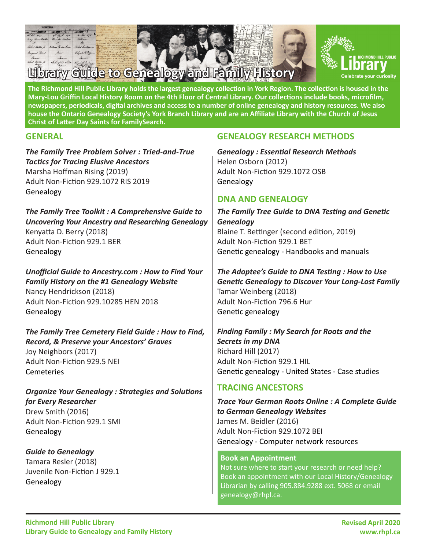

**The Richmond Hill Public Library holds the largest genealogy collection in York Region. The collection is housed in the Mary-Lou Griffin Local History Room on the 4th Floor of Central Library. Our collections include books, microfilm, newspapers, periodicals, digital archives and access to a number of online genealogy and history resources. We also house the Ontario Genealogy Society's York Branch Library and are an Affiliate Library with the Church of Jesus Christ of Latter Day Saints for [FamilySearch.](https://www.familysearch.org/en/)**

*The Family Tree Problem Solver : Tried-and-True Tactics for Tracing Elusive Ancestors* Marsha Hoffman Rising (2019) Adult Non-Fiction 929.1072 RIS 2019 Genealogy

*The Family Tree Toolkit : A Comprehensive Guide to Uncovering Your Ancestry and Researching Genealogy* Kenyatta D. Berry (2018) Adult Non-Fiction 929.1 BER Genealogy

*Unofficial Guide to Ancestry.com : How to Find Your Family History on the #1 Genealogy Website* Nancy Hendrickson (2018) Adult Non-Fiction 929.10285 HEN 2018 Genealogy

*The Family Tree Cemetery Field Guide : How to Find, Record, & Preserve your Ancestors' Graves* Joy Neighbors (2017) Adult Non-Fiction 929.5 NEI **Cemeteries** 

*Organize Your Genealogy : Strategies and Solutions for Every Researcher* Drew Smith (2016) Adult Non-Fiction 929.1 SMI Genealogy

### *Guide to Genealogy* Tamara Resler (2018) Juvenile Non-Fiction J 929.1 Genealogy

## **GENERAL GENEALOGY RESEARCH METHODS**

*Genealogy : Essential Research Methods* Helen Osborn (2012) Adult Non-Fiction 929.1072 OSB Genealogy

## **DNA AND GENEALOGY**

*The Family Tree Guide to DNA Testing and Genetic Genealogy* Blaine T. Bettinger (second edition, 2019) Adult Non-Fiction 929.1 BET Genetic genealogy - Handbooks and manuals

*The Adoptee's Guide to DNA Testing : How to Use Genetic Genealogy to Discover Your Long-Lost Family* Tamar Weinberg (2018) Adult Non-Fiction 796.6 Hur Genetic genealogy

*Finding Family : My Search for Roots and the Secrets in my DNA* Richard Hill (2017) Adult Non-Fiction 929.1 HIL Genetic genealogy - United States - Case studies

## **TRACING ANCESTORS**

*Trace Your German Roots Online : A Complete Guide to German Genealogy Websites* James M. Beidler (2016) Adult Non-Fiction 929.1072 BEI Genealogy - Computer network resources

#### **Book an Appointment**

Not sure where to start your research or need help? Book an appointment with our Local History/Genealogy Librarian by calling 905.884.9288 ext. 5068 or email genealogy@rhpl.ca.